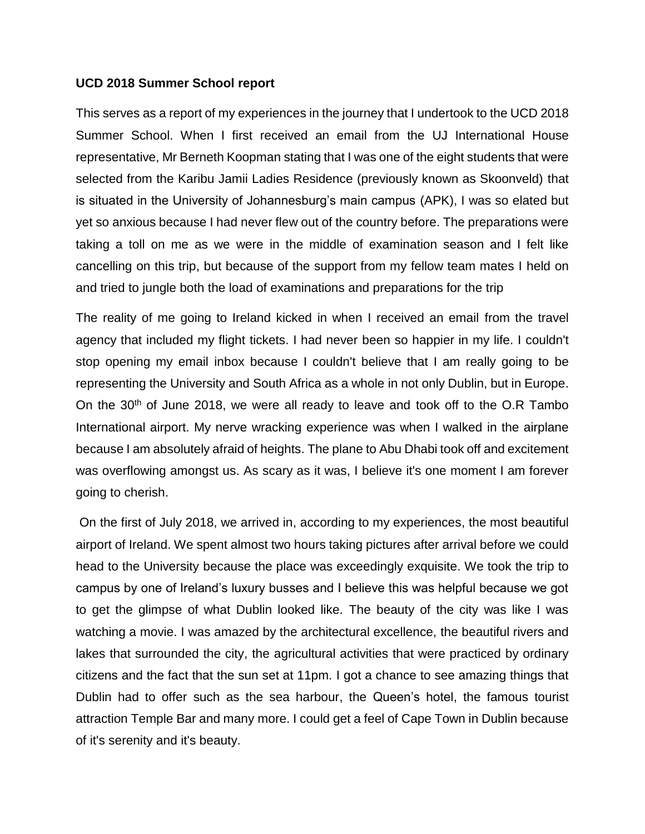## **UCD 2018 Summer School report**

This serves as a report of my experiences in the journey that I undertook to the UCD 2018 Summer School. When I first received an email from the UJ International House representative, Mr Berneth Koopman stating that I was one of the eight students that were selected from the Karibu Jamii Ladies Residence (previously known as Skoonveld) that is situated in the University of Johannesburg's main campus (APK), I was so elated but yet so anxious because I had never flew out of the country before. The preparations were taking a toll on me as we were in the middle of examination season and I felt like cancelling on this trip, but because of the support from my fellow team mates I held on and tried to jungle both the load of examinations and preparations for the trip

The reality of me going to Ireland kicked in when I received an email from the travel agency that included my flight tickets. I had never been so happier in my life. I couldn't stop opening my email inbox because I couldn't believe that I am really going to be representing the University and South Africa as a whole in not only Dublin, but in Europe. On the 30th of June 2018, we were all ready to leave and took off to the O.R Tambo International airport. My nerve wracking experience was when I walked in the airplane because I am absolutely afraid of heights. The plane to Abu Dhabi took off and excitement was overflowing amongst us. As scary as it was, I believe it's one moment I am forever going to cherish.

On the first of July 2018, we arrived in, according to my experiences, the most beautiful airport of Ireland. We spent almost two hours taking pictures after arrival before we could head to the University because the place was exceedingly exquisite. We took the trip to campus by one of Ireland's luxury busses and I believe this was helpful because we got to get the glimpse of what Dublin looked like. The beauty of the city was like I was watching a movie. I was amazed by the architectural excellence, the beautiful rivers and lakes that surrounded the city, the agricultural activities that were practiced by ordinary citizens and the fact that the sun set at 11pm. I got a chance to see amazing things that Dublin had to offer such as the sea harbour, the Queen's hotel, the famous tourist attraction Temple Bar and many more. I could get a feel of Cape Town in Dublin because of it's serenity and it's beauty.